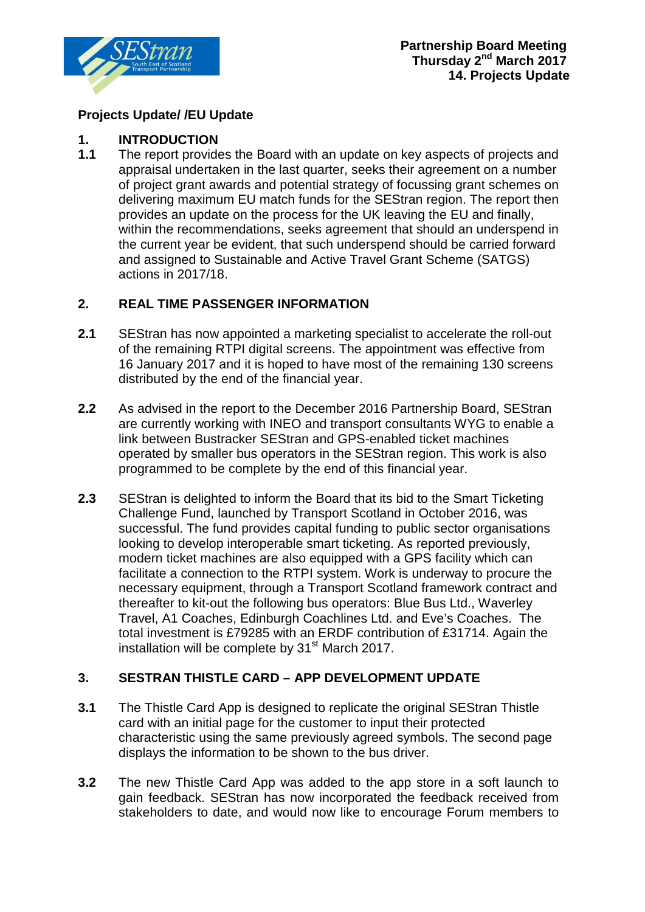

## **Projects Update/ /EU Update**

# **1. INTRODUCTION**

The report provides the Board with an update on key aspects of projects and appraisal undertaken in the last quarter, seeks their agreement on a number of project grant awards and potential strategy of focussing grant schemes on delivering maximum EU match funds for the SEStran region. The report then provides an update on the process for the UK leaving the EU and finally, within the recommendations, seeks agreement that should an underspend in the current year be evident, that such underspend should be carried forward and assigned to Sustainable and Active Travel Grant Scheme (SATGS) actions in 2017/18.

## **2. REAL TIME PASSENGER INFORMATION**

- **2.1** SEStran has now appointed a marketing specialist to accelerate the roll-out of the remaining RTPI digital screens. The appointment was effective from 16 January 2017 and it is hoped to have most of the remaining 130 screens distributed by the end of the financial year.
- **2.2** As advised in the report to the December 2016 Partnership Board, SEStran are currently working with INEO and transport consultants WYG to enable a link between Bustracker SEStran and GPS-enabled ticket machines operated by smaller bus operators in the SEStran region. This work is also programmed to be complete by the end of this financial year.
- **2.3** SEStran is delighted to inform the Board that its bid to the Smart Ticketing Challenge Fund, launched by Transport Scotland in October 2016, was successful. The fund provides capital funding to public sector organisations looking to develop interoperable smart ticketing. As reported previously, modern ticket machines are also equipped with a GPS facility which can facilitate a connection to the RTPI system. Work is underway to procure the necessary equipment, through a Transport Scotland framework contract and thereafter to kit-out the following bus operators: Blue Bus Ltd., Waverley Travel, A1 Coaches, Edinburgh Coachlines Ltd. and Eve's Coaches. The total investment is £79285 with an ERDF contribution of £31714. Again the installation will be complete by  $31<sup>st</sup>$  March 2017.

## **3. SESTRAN THISTLE CARD – APP DEVELOPMENT UPDATE**

- **3.1** The Thistle Card App is designed to replicate the original SEStran Thistle card with an initial page for the customer to input their protected characteristic using the same previously agreed symbols. The second page displays the information to be shown to the bus driver.
- **3.2** The new Thistle Card App was added to the app store in a soft launch to gain feedback. SEStran has now incorporated the feedback received from stakeholders to date, and would now like to encourage Forum members to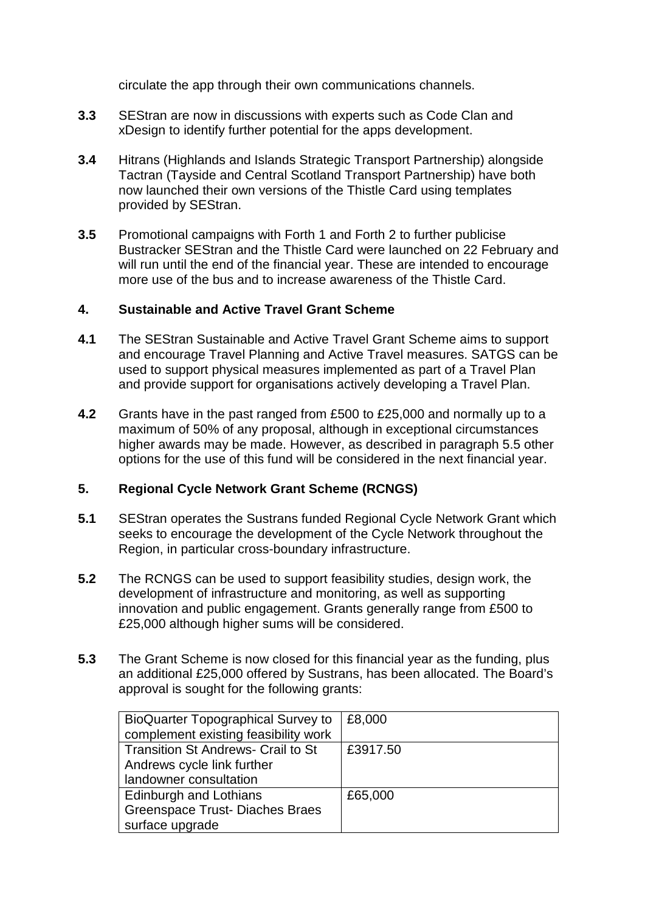circulate the app through their own communications channels.

- **3.3** SEStran are now in discussions with experts such as Code Clan and xDesign to identify further potential for the apps development.
- **3.4** Hitrans (Highlands and Islands Strategic Transport Partnership) alongside Tactran (Tayside and Central Scotland Transport Partnership) have both now launched their own versions of the Thistle Card using templates provided by SEStran.
- **3.5** Promotional campaigns with Forth 1 and Forth 2 to further publicise Bustracker SEStran and the Thistle Card were launched on 22 February and will run until the end of the financial year. These are intended to encourage more use of the bus and to increase awareness of the Thistle Card.

#### **4. Sustainable and Active Travel Grant Scheme**

- **4.1** The SEStran Sustainable and Active Travel Grant Scheme aims to support and encourage Travel Planning and Active Travel measures. SATGS can be used to support physical measures implemented as part of a Travel Plan and provide support for organisations actively developing a Travel Plan.
- **4.2** Grants have in the past ranged from £500 to £25,000 and normally up to a maximum of 50% of any proposal, although in exceptional circumstances higher awards may be made. However, as described in paragraph 5.5 other options for the use of this fund will be considered in the next financial year.

## **5. Regional Cycle Network Grant Scheme (RCNGS)**

- **5.1** SEStran operates the Sustrans funded Regional Cycle Network Grant which seeks to encourage the development of the Cycle Network throughout the Region, in particular cross-boundary infrastructure.
- **5.2** The RCNGS can be used to support feasibility studies, design work, the development of infrastructure and monitoring, as well as supporting innovation and public engagement. Grants generally range from £500 to £25,000 although higher sums will be considered.
- **5.3** The Grant Scheme is now closed for this financial year as the funding, plus an additional £25,000 offered by Sustrans, has been allocated. The Board's approval is sought for the following grants:

| <b>BioQuarter Topographical Survey to</b> | £8,000   |
|-------------------------------------------|----------|
| complement existing feasibility work      |          |
| <b>Transition St Andrews- Crail to St</b> | £3917.50 |
| Andrews cycle link further                |          |
| landowner consultation                    |          |
| Edinburgh and Lothians                    | £65,000  |
| <b>Greenspace Trust-Diaches Braes</b>     |          |
| surface upgrade                           |          |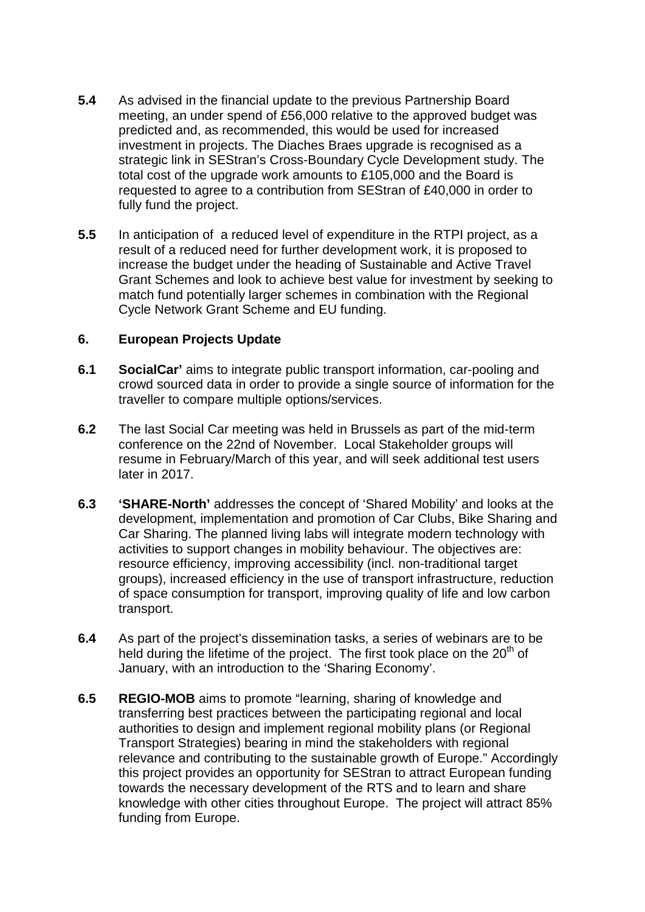- **5.4** As advised in the financial update to the previous Partnership Board meeting, an under spend of £56,000 relative to the approved budget was predicted and, as recommended, this would be used for increased investment in projects. The Diaches Braes upgrade is recognised as a strategic link in SEStran's Cross-Boundary Cycle Development study. The total cost of the upgrade work amounts to £105,000 and the Board is requested to agree to a contribution from SEStran of £40,000 in order to fully fund the project.
- **5.5** In anticipation of a reduced level of expenditure in the RTPI project, as a result of a reduced need for further development work, it is proposed to increase the budget under the heading of Sustainable and Active Travel Grant Schemes and look to achieve best value for investment by seeking to match fund potentially larger schemes in combination with the Regional Cycle Network Grant Scheme and EU funding.

#### **6. European Projects Update**

- **6.1 SocialCar'** aims to integrate public transport information, car-pooling and crowd sourced data in order to provide a single source of information for the traveller to compare multiple options/services.
- **6.2** The last Social Car meeting was held in Brussels as part of the mid-term conference on the 22nd of November. Local Stakeholder groups will resume in February/March of this year, and will seek additional test users later in 2017.
- **6.3 'SHARE-North'** addresses the concept of 'Shared Mobility' and looks at the development, implementation and promotion of Car Clubs, Bike Sharing and Car Sharing. The planned living labs will integrate modern technology with activities to support changes in mobility behaviour. The objectives are: resource efficiency, improving accessibility (incl. non-traditional target groups), increased efficiency in the use of transport infrastructure, reduction of space consumption for transport, improving quality of life and low carbon transport.
- **6.4** As part of the project's dissemination tasks, a series of webinars are to be held during the lifetime of the project. The first took place on the  $20<sup>th</sup>$  of January, with an introduction to the 'Sharing Economy'.
- **6.5 REGIO-MOB** aims to promote "learning, sharing of knowledge and transferring best practices between the participating regional and local authorities to design and implement regional mobility plans (or Regional Transport Strategies) bearing in mind the stakeholders with regional relevance and contributing to the sustainable growth of Europe." Accordingly this project provides an opportunity for SEStran to attract European funding towards the necessary development of the RTS and to learn and share knowledge with other cities throughout Europe. The project will attract 85% funding from Europe.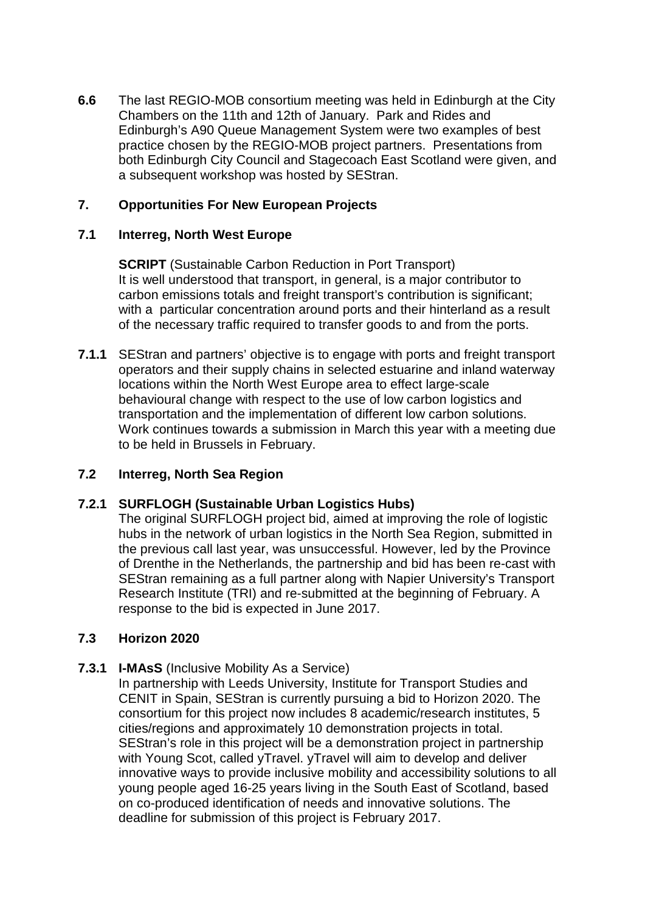**6.6** The last REGIO-MOB consortium meeting was held in Edinburgh at the City Chambers on the 11th and 12th of January. Park and Rides and Edinburgh's A90 Queue Management System were two examples of best practice chosen by the REGIO-MOB project partners. Presentations from both Edinburgh City Council and Stagecoach East Scotland were given, and a subsequent workshop was hosted by SEStran.

### **7. Opportunities For New European Projects**

### **7.1 Interreg, North West Europe**

**SCRIPT** (Sustainable Carbon Reduction in Port Transport) It is well understood that transport, in general, is a major contributor to carbon emissions totals and freight transport's contribution is significant; with a particular concentration around ports and their hinterland as a result of the necessary traffic required to transfer goods to and from the ports.

**7.1.1** SEStran and partners' objective is to engage with ports and freight transport operators and their supply chains in selected estuarine and inland waterway locations within the North West Europe area to effect large-scale behavioural change with respect to the use of low carbon logistics and transportation and the implementation of different low carbon solutions. Work continues towards a submission in March this year with a meeting due to be held in Brussels in February.

#### **7.2 Interreg, North Sea Region**

#### **7.2.1 SURFLOGH (Sustainable Urban Logistics Hubs)**

The original SURFLOGH project bid, aimed at improving the role of logistic hubs in the network of urban logistics in the North Sea Region, submitted in the previous call last year, was unsuccessful. However, led by the Province of Drenthe in the Netherlands, the partnership and bid has been re-cast with SEStran remaining as a full partner along with Napier University's Transport Research Institute (TRI) and re-submitted at the beginning of February. A response to the bid is expected in June 2017.

#### **7.3 Horizon 2020**

#### **7.3.1 I-MAsS** (Inclusive Mobility As a Service)

In partnership with Leeds University, Institute for Transport Studies and CENIT in Spain, SEStran is currently pursuing a bid to Horizon 2020. The consortium for this project now includes 8 academic/research institutes, 5 cities/regions and approximately 10 demonstration projects in total. SEStran's role in this project will be a demonstration project in partnership with Young Scot, called yTravel. yTravel will aim to develop and deliver innovative ways to provide inclusive mobility and accessibility solutions to all young people aged 16-25 years living in the South East of Scotland, based on co-produced identification of needs and innovative solutions. The deadline for submission of this project is February 2017.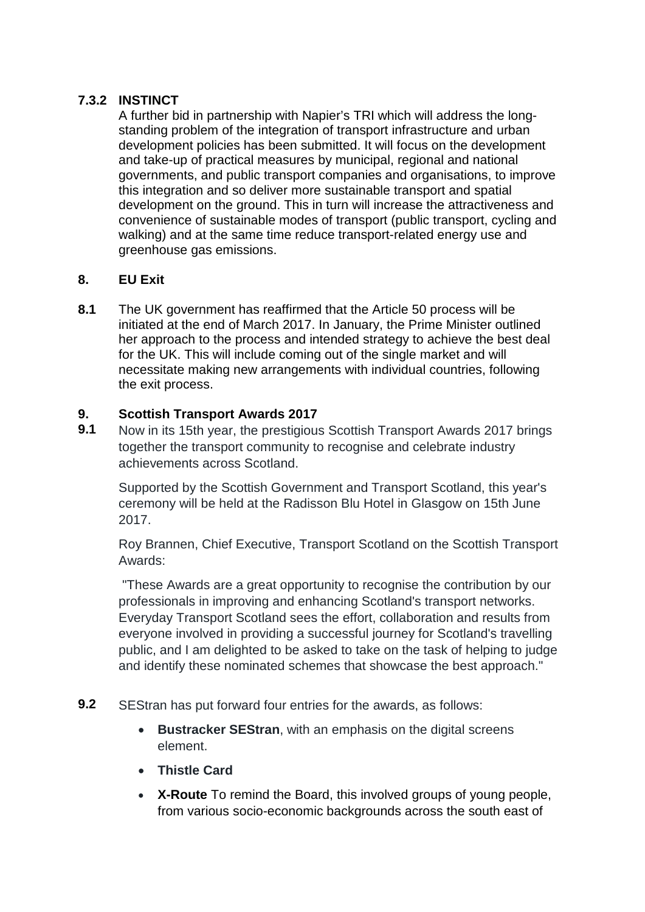## **7.3.2 INSTINCT**

A further bid in partnership with Napier's TRI which will address the longstanding problem of the integration of transport infrastructure and urban development policies has been submitted. It will focus on the development and take-up of practical measures by municipal, regional and national governments, and public transport companies and organisations, to improve this integration and so deliver more sustainable transport and spatial development on the ground. This in turn will increase the attractiveness and convenience of sustainable modes of transport (public transport, cycling and walking) and at the same time reduce transport-related energy use and greenhouse gas emissions.

## **8. EU Exit**

**8.1** The UK government has reaffirmed that the Article 50 process will be initiated at the end of March 2017. In January, the Prime Minister outlined her approach to the process and intended strategy to achieve the best deal for the UK. This will include coming out of the single market and will necessitate making new arrangements with individual countries, following the exit process.

# **9. Scottish Transport Awards 2017**

**9.1** Now in its 15th year, the prestigious Scottish Transport Awards 2017 brings together the transport community to recognise and celebrate industry achievements across Scotland.

Supported by the Scottish Government and Transport Scotland, this year's ceremony will be held at the Radisson Blu Hotel in Glasgow on 15th June 2017.

Roy Brannen, Chief Executive, Transport Scotland on the Scottish Transport Awards:

"These Awards are a great opportunity to recognise the contribution by our professionals in improving and enhancing Scotland's transport networks. Everyday Transport Scotland sees the effort, collaboration and results from everyone involved in providing a successful journey for Scotland's travelling public, and I am delighted to be asked to take on the task of helping to judge and identify these nominated schemes that showcase the best approach."

- **9.2** SEStran has put forward four entries for the awards, as follows:
	- **Bustracker SEStran**, with an emphasis on the digital screens element.
	- **Thistle Card**
	- **X-Route** To remind the Board, this involved groups of young people, from various socio-economic backgrounds across the south east of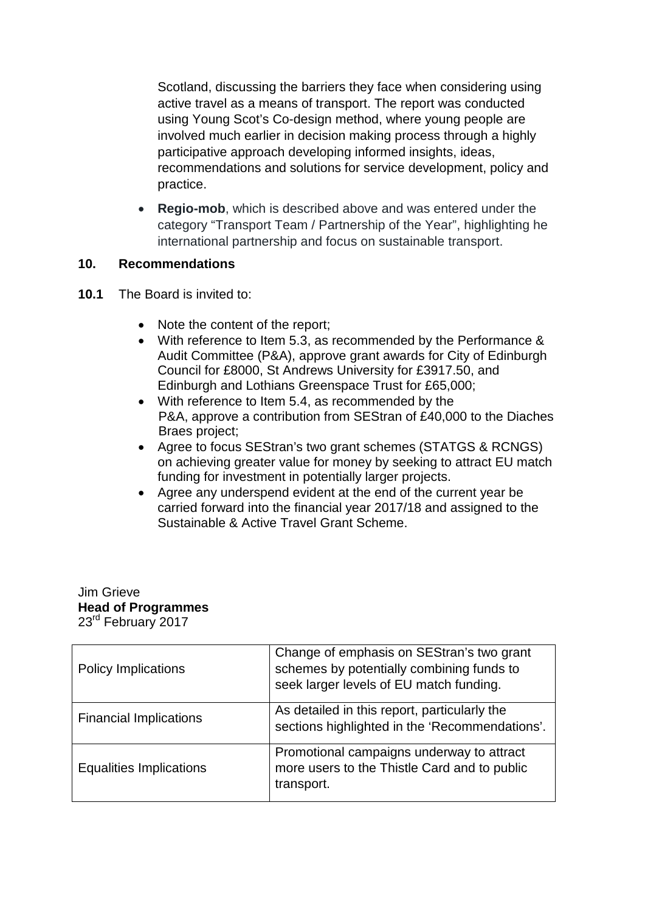Scotland, discussing the barriers they face when considering using active travel as a means of transport. The report was conducted using Young Scot's Co-design method, where young people are involved much earlier in decision making process through a highly participative approach developing informed insights, ideas, recommendations and solutions for service development, policy and practice.

• **Regio-mob**, which is described above and was entered under the category "Transport Team / Partnership of the Year", highlighting he international partnership and focus on sustainable transport.

#### **10. Recommendations**

- **10.1** The Board is invited to:
	- Note the content of the report;
	- With reference to Item 5.3, as recommended by the Performance & Audit Committee (P&A), approve grant awards for City of Edinburgh Council for £8000, St Andrews University for £3917.50, and Edinburgh and Lothians Greenspace Trust for £65,000;
	- With reference to Item 5.4, as recommended by the P&A, approve a contribution from SEStran of £40,000 to the Diaches Braes project;
	- Agree to focus SEStran's two grant schemes (STATGS & RCNGS) on achieving greater value for money by seeking to attract EU match funding for investment in potentially larger projects.
	- Agree any underspend evident at the end of the current year be carried forward into the financial year 2017/18 and assigned to the Sustainable & Active Travel Grant Scheme.

#### Jim Grieve **Head of Programmes** 23<sup>rd</sup> February 2017

| <b>Policy Implications</b>    | Change of emphasis on SEStran's two grant<br>schemes by potentially combining funds to<br>seek larger levels of EU match funding. |
|-------------------------------|-----------------------------------------------------------------------------------------------------------------------------------|
| <b>Financial Implications</b> | As detailed in this report, particularly the<br>sections highlighted in the 'Recommendations'.                                    |
| Equalities Implications       | Promotional campaigns underway to attract<br>more users to the Thistle Card and to public<br>transport.                           |